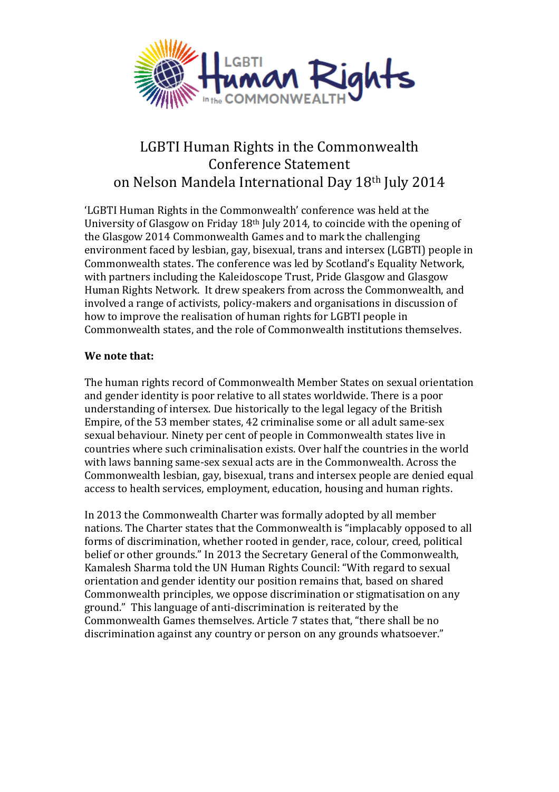

## LGBTI Human Rights in the Commonwealth Conference Statement on Nelson Mandela International Day 18th July 2014

'LGBTI Human Rights in the Commonwealth' conference was held at the University of Glasgow on Friday 18th July 2014, to coincide with the opening of the Glasgow 2014 Commonwealth Games and to mark the challenging environment faced by lesbian, gay, bisexual, trans and intersex (LGBTI) people in Commonwealth states. The conference was led by Scotland's Equality Network, with partners including the Kaleidoscope Trust, Pride Glasgow and Glasgow Human Rights Network. It drew speakers from across the Commonwealth, and involved a range of activists, policy-makers and organisations in discussion of how to improve the realisation of human rights for LGBTI people in Commonwealth states, and the role of Commonwealth institutions themselves.

## **We note that:**

The human rights record of Commonwealth Member States on sexual orientation and gender identity is poor relative to all states worldwide. There is a poor understanding of intersex. Due historically to the legal legacy of the British Empire, of the 53 member states, 42 criminalise some or all adult same-sex sexual behaviour. Ninety per cent of people in Commonwealth states live in countries where such criminalisation exists. Over half the countries in the world with laws banning same-sex sexual acts are in the Commonwealth. Across the Commonwealth lesbian, gay, bisexual, trans and intersex people are denied equal access to health services, employment, education, housing and human rights.

In 2013 the Commonwealth Charter was formally adopted by all member nations. The Charter states that the Commonwealth is "implacably opposed to all forms of discrimination, whether rooted in gender, race, colour, creed, political belief or other grounds." In 2013 the Secretary General of the Commonwealth, Kamalesh Sharma told the UN Human Rights Council: "With regard to sexual orientation and gender identity our position remains that, based on shared Commonwealth principles, we oppose discrimination or stigmatisation on any ground." This language of anti-discrimination is reiterated by the Commonwealth Games themselves. Article 7 states that, "there shall be no discrimination against any country or person on any grounds whatsoever."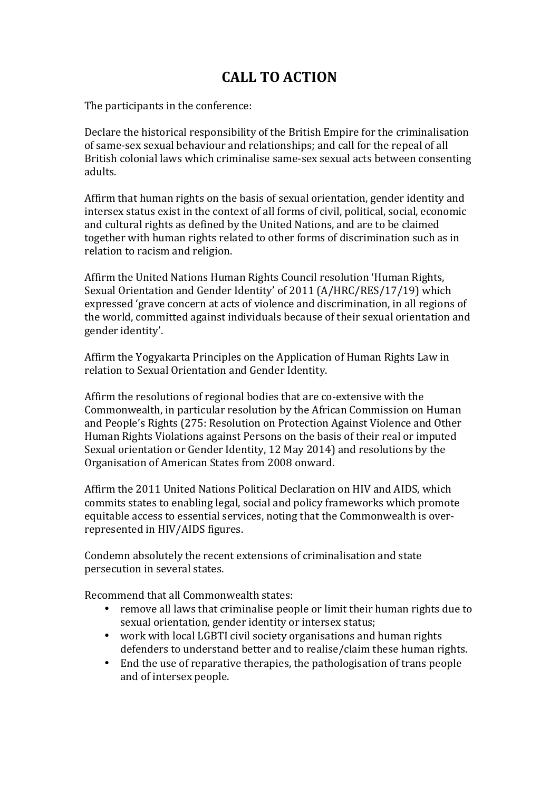## **CALL TO ACTION**

The participants in the conference:

Declare the historical responsibility of the British Empire for the criminalisation of same-sex sexual behaviour and relationships; and call for the repeal of all British colonial laws which criminalise same-sex sexual acts between consenting adults.

Affirm that human rights on the basis of sexual orientation, gender identity and intersex status exist in the context of all forms of civil, political, social, economic and cultural rights as defined by the United Nations, and are to be claimed together with human rights related to other forms of discrimination such as in relation to racism and religion.

Affirm the United Nations Human Rights Council resolution 'Human Rights, Sexual Orientation and Gender Identity' of 2011 (A/HRC/RES/17/19) which expressed 'grave concern at acts of violence and discrimination, in all regions of the world, committed against individuals because of their sexual orientation and gender identity'.

Affirm the Yogyakarta Principles on the Application of Human Rights Law in relation to Sexual Orientation and Gender Identity.

Affirm the resolutions of regional bodies that are co-extensive with the Commonwealth, in particular resolution by the African Commission on Human and People's Rights (275: Resolution on Protection Against Violence and Other Human Rights Violations against Persons on the basis of their real or imputed Sexual orientation or Gender Identity, 12 May 2014) and resolutions by the Organisation of American States from 2008 onward.

Affirm the 2011 United Nations Political Declaration on HIV and AIDS, which commits states to enabling legal, social and policy frameworks which promote equitable access to essential services, noting that the Commonwealth is overrepresented in HIV/AIDS figures.

Condemn absolutely the recent extensions of criminalisation and state persecution in several states.

Recommend that all Commonwealth states:

- remove all laws that criminalise people or limit their human rights due to sexual orientation, gender identity or intersex status;
- work with local LGBTI civil society organisations and human rights defenders to understand better and to realise/claim these human rights.
- End the use of reparative therapies, the pathologisation of trans people and of intersex people.